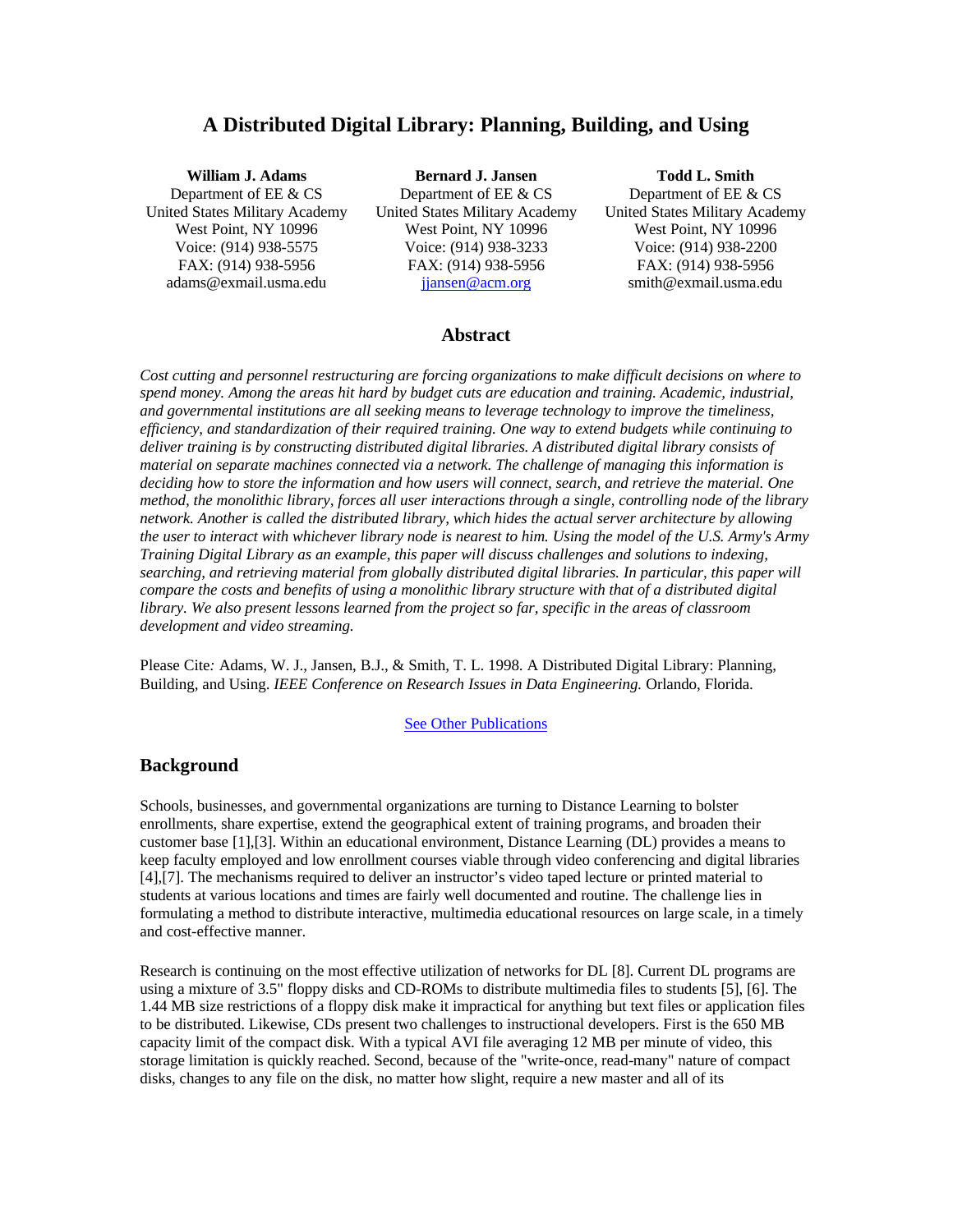# **A Distributed Digital Library: Planning, Building, and Using**

**William J. Adams** Department of EE & CS United States Military Academy West Point, NY 10996 Voice: (914) 938-5575 FAX: (914) 938-5956 adams@exmail.usma.edu

**Bernard J. Jansen** Department of EE & CS United States Military Academy West Point, NY 10996 Voice: (914) 938-3233 FAX: (914) 938-5956 jjansen@acm.org

**Todd L. Smith** Department of EE & CS United States Military Academy West Point, NY 10996 Voice: (914) 938-2200 FAX: (914) 938-5956 smith@exmail.usma.edu

#### **Abstract**

*Cost cutting and personnel restructuring are forcing organizations to make difficult decisions on where to spend money. Among the areas hit hard by budget cuts are education and training. Academic, industrial, and governmental institutions are all seeking means to leverage technology to improve the timeliness, efficiency, and standardization of their required training. One way to extend budgets while continuing to deliver training is by constructing distributed digital libraries. A distributed digital library consists of material on separate machines connected via a network. The challenge of managing this information is deciding how to store the information and how users will connect, search, and retrieve the material. One method, the monolithic library, forces all user interactions through a single, controlling node of the library network. Another is called the distributed library, which hides the actual server architecture by allowing the user to interact with whichever library node is nearest to him. Using the model of the U.S. Army's Army Training Digital Library as an example, this paper will discuss challenges and solutions to indexing, searching, and retrieving material from globally distributed digital libraries. In particular, this paper will compare the costs and benefits of using a monolithic library structure with that of a distributed digital library. We also present lessons learned from the project so far, specific in the areas of classroom development and video streaming.*

Please Cite*:* Adams, W. J., Jansen, B.J., & Smith, T. L. 1998. A Distributed Digital Library: Planning, Building, and Using. *IEEE Conference on Research Issues in Data Engineering.* Orlando, Florida.

#### See Other Publications

#### **Background**

Schools, businesses, and governmental organizations are turning to Distance Learning to bolster enrollments, share expertise, extend the geographical extent of training programs, and broaden their customer base [1],[3]. Within an educational environment, Distance Learning (DL) provides a means to keep faculty employed and low enrollment courses viable through video conferencing and digital libraries [4],[7]. The mechanisms required to deliver an instructor's video taped lecture or printed material to students at various locations and times are fairly well documented and routine. The challenge lies in formulating a method to distribute interactive, multimedia educational resources on large scale, in a timely and cost-effective manner.

Research is continuing on the most effective utilization of networks for DL [8]. Current DL programs are using a mixture of 3.5" floppy disks and CD-ROMs to distribute multimedia files to students [5], [6]. The 1.44 MB size restrictions of a floppy disk make it impractical for anything but text files or application files to be distributed. Likewise, CDs present two challenges to instructional developers. First is the 650 MB capacity limit of the compact disk. With a typical AVI file averaging 12 MB per minute of video, this storage limitation is quickly reached. Second, because of the "write-once, read-many" nature of compact disks, changes to any file on the disk, no matter how slight, require a new master and all of its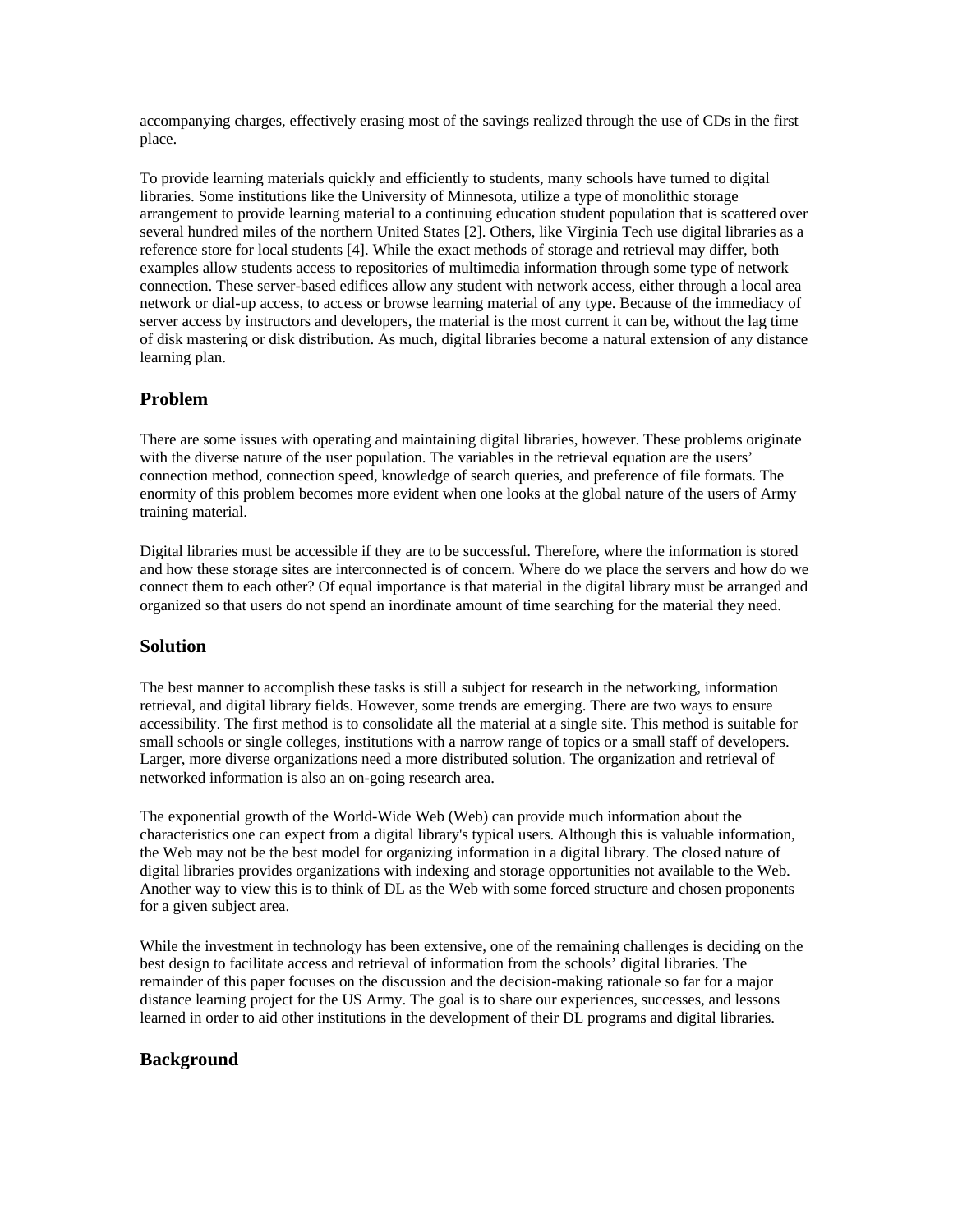accompanying charges, effectively erasing most of the savings realized through the use of CDs in the first place.

To provide learning materials quickly and efficiently to students, many schools have turned to digital libraries. Some institutions like the University of Minnesota, utilize a type of monolithic storage arrangement to provide learning material to a continuing education student population that is scattered over several hundred miles of the northern United States [2]. Others, like Virginia Tech use digital libraries as a reference store for local students [4]. While the exact methods of storage and retrieval may differ, both examples allow students access to repositories of multimedia information through some type of network connection. These server-based edifices allow any student with network access, either through a local area network or dial-up access, to access or browse learning material of any type. Because of the immediacy of server access by instructors and developers, the material is the most current it can be, without the lag time of disk mastering or disk distribution. As much, digital libraries become a natural extension of any distance learning plan.

## **Problem**

There are some issues with operating and maintaining digital libraries, however. These problems originate with the diverse nature of the user population. The variables in the retrieval equation are the users' connection method, connection speed, knowledge of search queries, and preference of file formats. The enormity of this problem becomes more evident when one looks at the global nature of the users of Army training material.

Digital libraries must be accessible if they are to be successful. Therefore, where the information is stored and how these storage sites are interconnected is of concern. Where do we place the servers and how do we connect them to each other? Of equal importance is that material in the digital library must be arranged and organized so that users do not spend an inordinate amount of time searching for the material they need.

## **Solution**

The best manner to accomplish these tasks is still a subject for research in the networking, information retrieval, and digital library fields. However, some trends are emerging. There are two ways to ensure accessibility. The first method is to consolidate all the material at a single site. This method is suitable for small schools or single colleges, institutions with a narrow range of topics or a small staff of developers. Larger, more diverse organizations need a more distributed solution. The organization and retrieval of networked information is also an on-going research area.

The exponential growth of the World-Wide Web (Web) can provide much information about the characteristics one can expect from a digital library's typical users. Although this is valuable information, the Web may not be the best model for organizing information in a digital library. The closed nature of digital libraries provides organizations with indexing and storage opportunities not available to the Web. Another way to view this is to think of DL as the Web with some forced structure and chosen proponents for a given subject area.

While the investment in technology has been extensive, one of the remaining challenges is deciding on the best design to facilitate access and retrieval of information from the schools' digital libraries. The remainder of this paper focuses on the discussion and the decision-making rationale so far for a major distance learning project for the US Army. The goal is to share our experiences, successes, and lessons learned in order to aid other institutions in the development of their DL programs and digital libraries.

## **Background**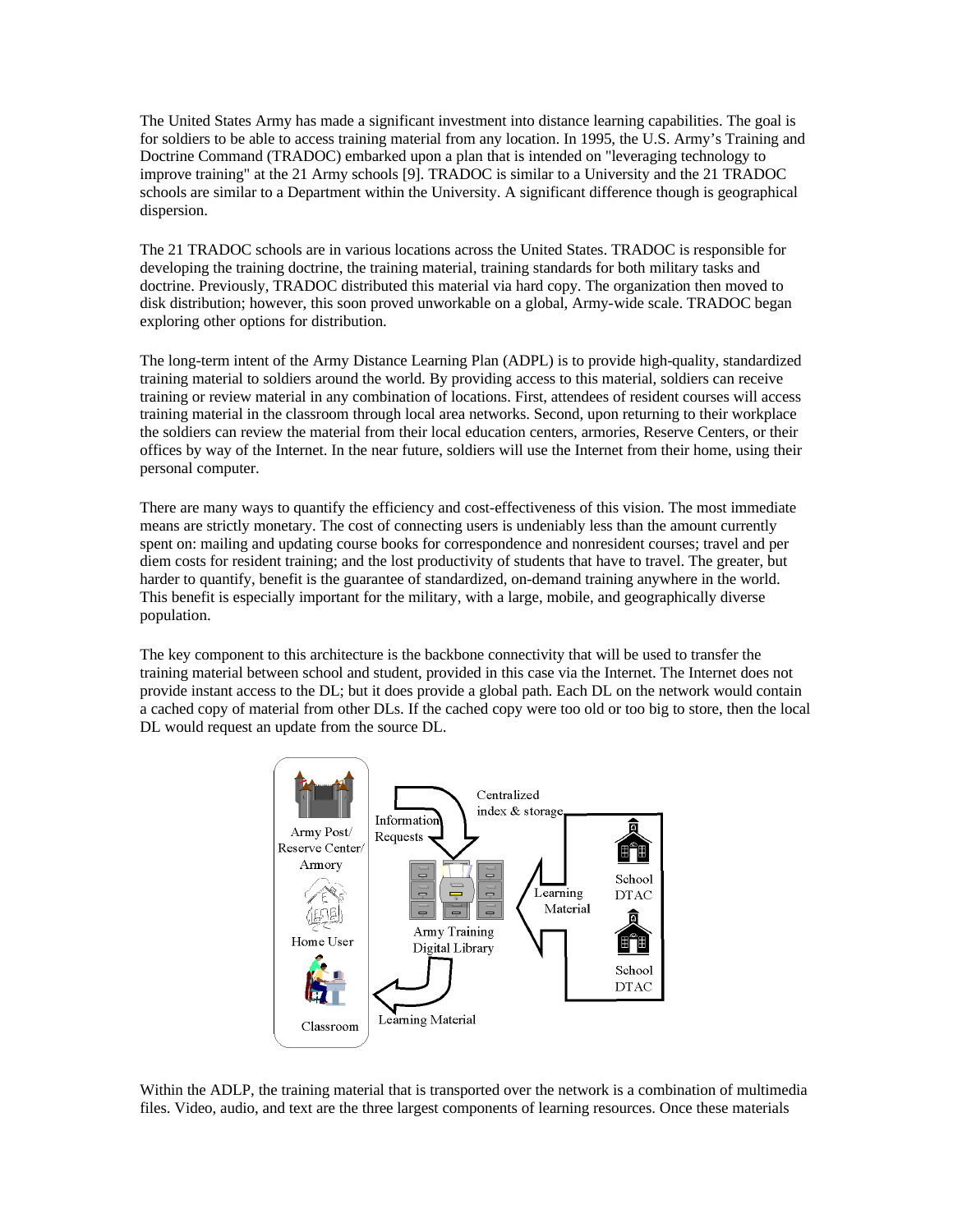The United States Army has made a significant investment into distance learning capabilities. The goal is for soldiers to be able to access training material from any location. In 1995, the U.S. Army's Training and Doctrine Command (TRADOC) embarked upon a plan that is intended on "leveraging technology to improve training" at the 21 Army schools [9]. TRADOC is similar to a University and the 21 TRADOC schools are similar to a Department within the University. A significant difference though is geographical dispersion.

The 21 TRADOC schools are in various locations across the United States. TRADOC is responsible for developing the training doctrine, the training material, training standards for both military tasks and doctrine. Previously, TRADOC distributed this material via hard copy. The organization then moved to disk distribution; however, this soon proved unworkable on a global, Army-wide scale. TRADOC began exploring other options for distribution.

The long-term intent of the Army Distance Learning Plan (ADPL) is to provide high-quality, standardized training material to soldiers around the world. By providing access to this material, soldiers can receive training or review material in any combination of locations. First, attendees of resident courses will access training material in the classroom through local area networks. Second, upon returning to their workplace the soldiers can review the material from their local education centers, armories, Reserve Centers, or their offices by way of the Internet. In the near future, soldiers will use the Internet from their home, using their personal computer.

There are many ways to quantify the efficiency and cost-effectiveness of this vision. The most immediate means are strictly monetary. The cost of connecting users is undeniably less than the amount currently spent on: mailing and updating course books for correspondence and nonresident courses; travel and per diem costs for resident training; and the lost productivity of students that have to travel. The greater, but harder to quantify, benefit is the guarantee of standardized, on-demand training anywhere in the world. This benefit is especially important for the military, with a large, mobile, and geographically diverse population.

The key component to this architecture is the backbone connectivity that will be used to transfer the training material between school and student, provided in this case via the Internet. The Internet does not provide instant access to the DL; but it does provide a global path. Each DL on the network would contain a cached copy of material from other DLs. If the cached copy were too old or too big to store, then the local DL would request an update from the source DL.



Within the ADLP, the training material that is transported over the network is a combination of multimedia files. Video, audio, and text are the three largest components of learning resources. Once these materials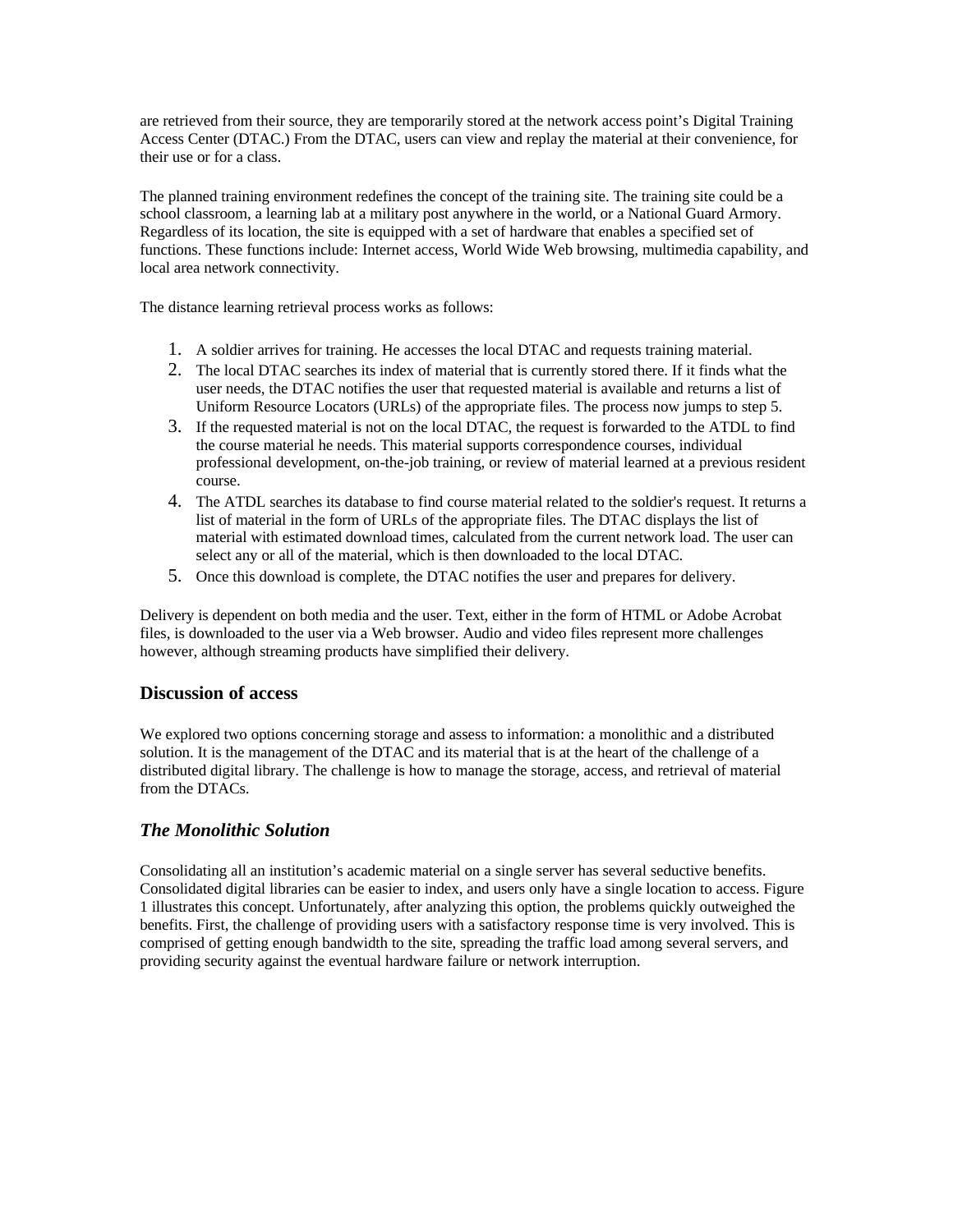are retrieved from their source, they are temporarily stored at the network access point's Digital Training Access Center (DTAC.) From the DTAC, users can view and replay the material at their convenience, for their use or for a class.

The planned training environment redefines the concept of the training site. The training site could be a school classroom, a learning lab at a military post anywhere in the world, or a National Guard Armory. Regardless of its location, the site is equipped with a set of hardware that enables a specified set of functions. These functions include: Internet access, World Wide Web browsing, multimedia capability, and local area network connectivity.

The distance learning retrieval process works as follows:

- 1. A soldier arrives for training. He accesses the local DTAC and requests training material.
- 2. The local DTAC searches its index of material that is currently stored there. If it finds what the user needs, the DTAC notifies the user that requested material is available and returns a list of Uniform Resource Locators (URLs) of the appropriate files. The process now jumps to step 5.
- 3. If the requested material is not on the local DTAC, the request is forwarded to the ATDL to find the course material he needs. This material supports correspondence courses, individual professional development, on-the-job training, or review of material learned at a previous resident course.
- 4. The ATDL searches its database to find course material related to the soldier's request. It returns a list of material in the form of URLs of the appropriate files. The DTAC displays the list of material with estimated download times, calculated from the current network load. The user can select any or all of the material, which is then downloaded to the local DTAC.
- 5. Once this download is complete, the DTAC notifies the user and prepares for delivery.

Delivery is dependent on both media and the user. Text, either in the form of HTML or Adobe Acrobat files, is downloaded to the user via a Web browser. Audio and video files represent more challenges however, although streaming products have simplified their delivery.

## **Discussion of access**

We explored two options concerning storage and assess to information: a monolithic and a distributed solution. It is the management of the DTAC and its material that is at the heart of the challenge of a distributed digital library. The challenge is how to manage the storage, access, and retrieval of material from the DTACs.

## *The Monolithic Solution*

Consolidating all an institution's academic material on a single server has several seductive benefits. Consolidated digital libraries can be easier to index, and users only have a single location to access. Figure 1 illustrates this concept. Unfortunately, after analyzing this option, the problems quickly outweighed the benefits. First, the challenge of providing users with a satisfactory response time is very involved. This is comprised of getting enough bandwidth to the site, spreading the traffic load among several servers, and providing security against the eventual hardware failure or network interruption.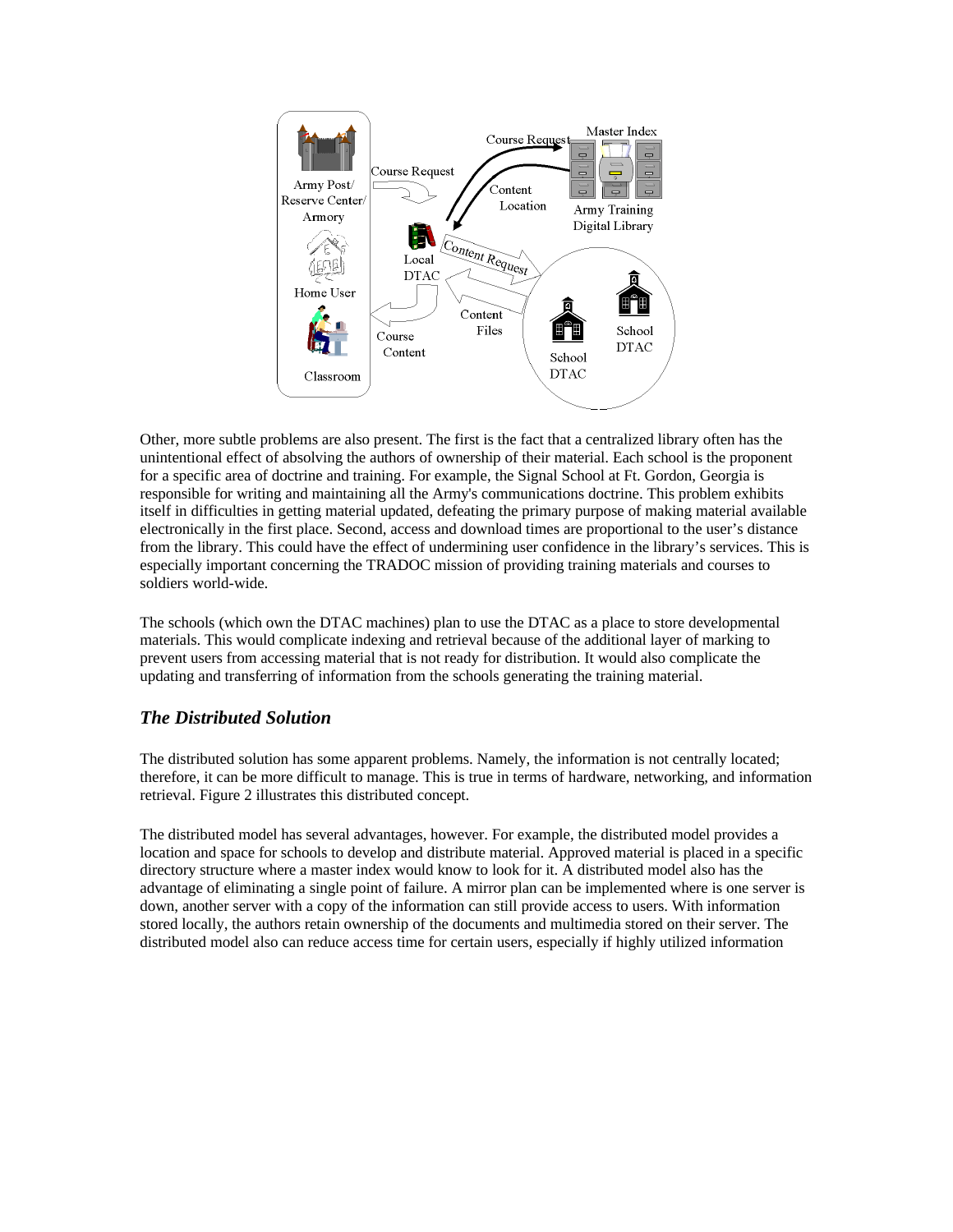

Other, more subtle problems are also present. The first is the fact that a centralized library often has the unintentional effect of absolving the authors of ownership of their material. Each school is the proponent for a specific area of doctrine and training. For example, the Signal School at Ft. Gordon, Georgia is responsible for writing and maintaining all the Army's communications doctrine. This problem exhibits itself in difficulties in getting material updated, defeating the primary purpose of making material available electronically in the first place. Second, access and download times are proportional to the user's distance from the library. This could have the effect of undermining user confidence in the library's services. This is especially important concerning the TRADOC mission of providing training materials and courses to soldiers world-wide.

The schools (which own the DTAC machines) plan to use the DTAC as a place to store developmental materials. This would complicate indexing and retrieval because of the additional layer of marking to prevent users from accessing material that is not ready for distribution. It would also complicate the updating and transferring of information from the schools generating the training material.

## *The Distributed Solution*

The distributed solution has some apparent problems. Namely, the information is not centrally located; therefore, it can be more difficult to manage. This is true in terms of hardware, networking, and information retrieval. Figure 2 illustrates this distributed concept.

The distributed model has several advantages, however. For example, the distributed model provides a location and space for schools to develop and distribute material. Approved material is placed in a specific directory structure where a master index would know to look for it. A distributed model also has the advantage of eliminating a single point of failure. A mirror plan can be implemented where is one server is down, another server with a copy of the information can still provide access to users. With information stored locally, the authors retain ownership of the documents and multimedia stored on their server. The distributed model also can reduce access time for certain users, especially if highly utilized information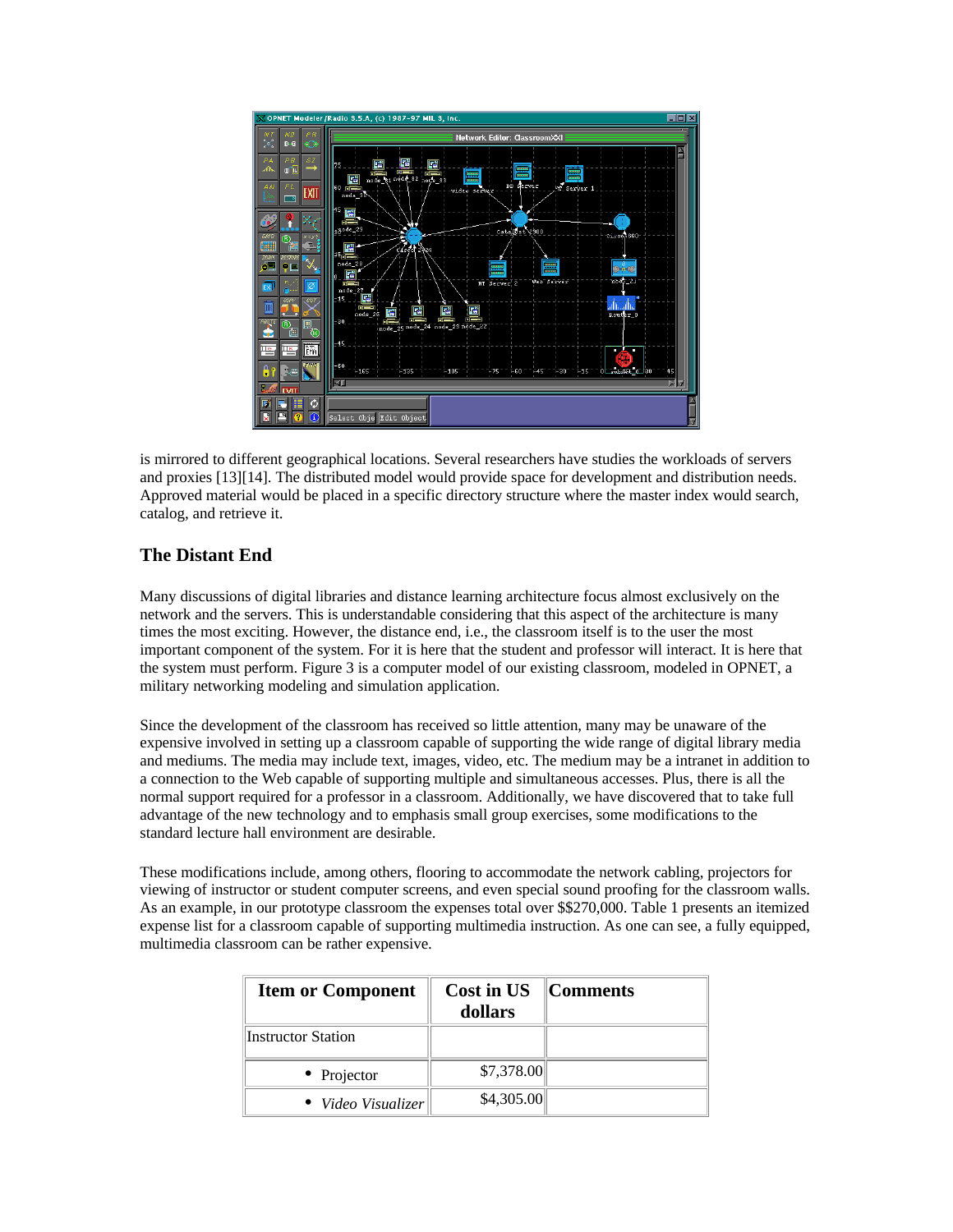

is mirrored to different geographical locations. Several researchers have studies the workloads of servers and proxies [13][14]. The distributed model would provide space for development and distribution needs. Approved material would be placed in a specific directory structure where the master index would search, catalog, and retrieve it.

## **The Distant End**

Many discussions of digital libraries and distance learning architecture focus almost exclusively on the network and the servers. This is understandable considering that this aspect of the architecture is many times the most exciting. However, the distance end, i.e., the classroom itself is to the user the most important component of the system. For it is here that the student and professor will interact. It is here that the system must perform. Figure 3 is a computer model of our existing classroom, modeled in OPNET, a military networking modeling and simulation application.

Since the development of the classroom has received so little attention, many may be unaware of the expensive involved in setting up a classroom capable of supporting the wide range of digital library media and mediums. The media may include text, images, video, etc. The medium may be a intranet in addition to a connection to the Web capable of supporting multiple and simultaneous accesses. Plus, there is all the normal support required for a professor in a classroom. Additionally, we have discovered that to take full advantage of the new technology and to emphasis small group exercises, some modifications to the standard lecture hall environment are desirable.

These modifications include, among others, flooring to accommodate the network cabling, projectors for viewing of instructor or student computer screens, and even special sound proofing for the classroom walls. As an example, in our prototype classroom the expenses total over \$\$270,000. Table 1 presents an itemized expense list for a classroom capable of supporting multimedia instruction. As one can see, a fully equipped, multimedia classroom can be rather expensive.

| <b>Item or Component</b>   | Cost in US   Comments<br>dollars |  |
|----------------------------|----------------------------------|--|
| Instructor Station         |                                  |  |
| • Projector                | \$7,378.00                       |  |
| $\bullet$ Video Visualizer | \$4,305.00                       |  |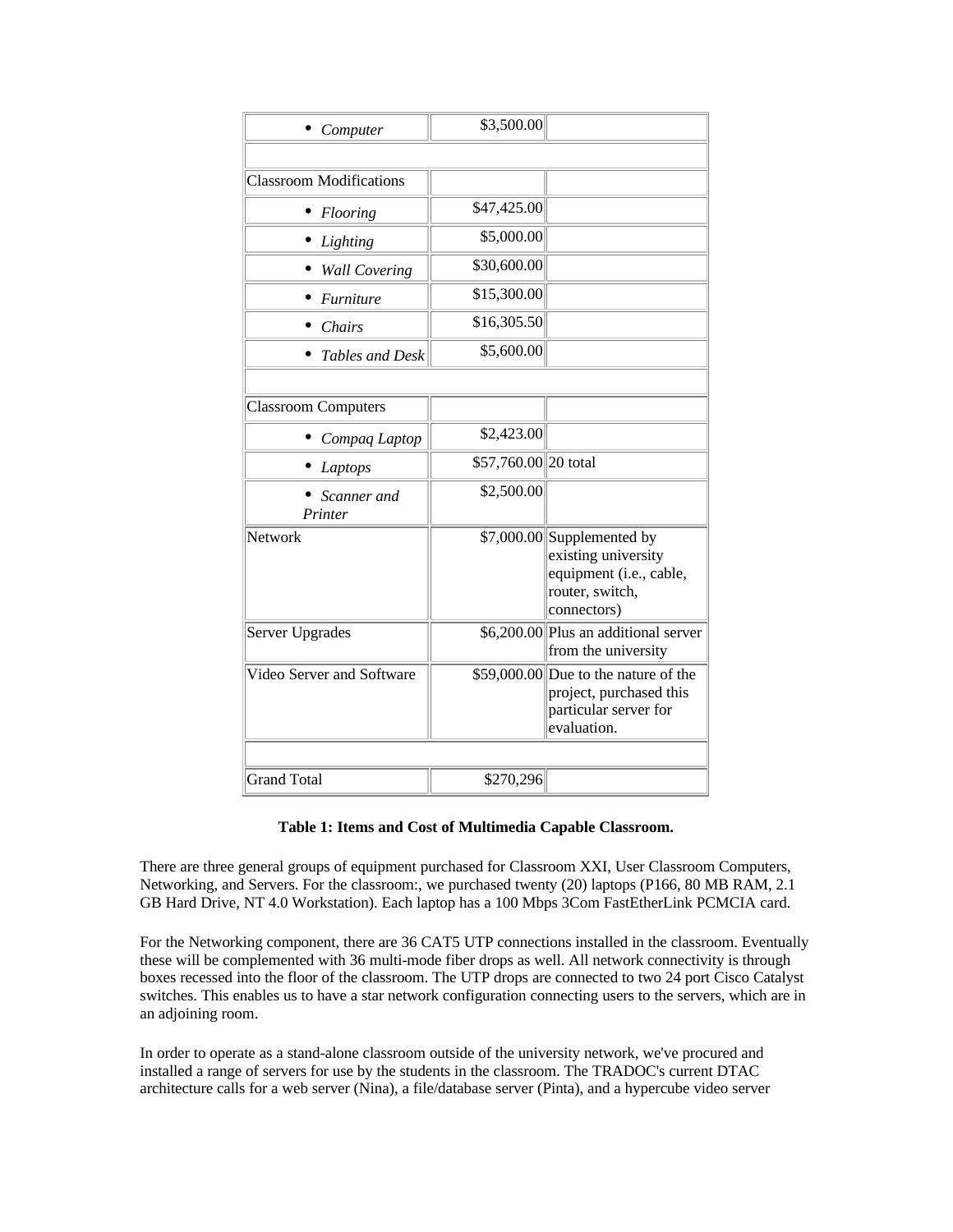| Computer                       | \$3,500.00           |                                                                                                                |
|--------------------------------|----------------------|----------------------------------------------------------------------------------------------------------------|
|                                |                      |                                                                                                                |
| <b>Classroom Modifications</b> |                      |                                                                                                                |
| Flooring                       | \$47,425.00          |                                                                                                                |
| Lighting                       | \$5,000.00           |                                                                                                                |
| <b>Wall Covering</b>           | \$30,600.00          |                                                                                                                |
| Furniture                      | \$15,300.00          |                                                                                                                |
| Chairs                         | \$16,305.50          |                                                                                                                |
| Tables and Desk                | \$5,600.00           |                                                                                                                |
|                                |                      |                                                                                                                |
| <b>Classroom Computers</b>     |                      |                                                                                                                |
| Compaq Laptop                  | \$2,423.00           |                                                                                                                |
| Laptops                        | \$57,760.00 20 total |                                                                                                                |
| Scanner and<br>Printer         | \$2,500.00           |                                                                                                                |
| Network                        |                      | \$7,000.00 Supplemented by<br>existing university<br>equipment (i.e., cable,<br>router, switch,<br>connectors) |
| Server Upgrades                |                      | \$6,200.00 Plus an additional server<br>from the university                                                    |
| Video Server and Software      |                      | \$59,000.00 Due to the nature of the<br>project, purchased this<br>particular server for<br>evaluation.        |
|                                |                      |                                                                                                                |
| <b>Grand Total</b>             | \$270,296            |                                                                                                                |

#### **Table 1: Items and Cost of Multimedia Capable Classroom.**

There are three general groups of equipment purchased for Classroom XXI, User Classroom Computers, Networking, and Servers. For the classroom:, we purchased twenty (20) laptops (P166, 80 MB RAM, 2.1 GB Hard Drive, NT 4.0 Workstation). Each laptop has a 100 Mbps 3Com FastEtherLink PCMCIA card.

For the Networking component, there are 36 CAT5 UTP connections installed in the classroom. Eventually these will be complemented with 36 multi-mode fiber drops as well. All network connectivity is through boxes recessed into the floor of the classroom. The UTP drops are connected to two 24 port Cisco Catalyst switches. This enables us to have a star network configuration connecting users to the servers, which are in an adjoining room.

In order to operate as a stand-alone classroom outside of the university network, we've procured and installed a range of servers for use by the students in the classroom. The TRADOC's current DTAC architecture calls for a web server (Nina), a file/database server (Pinta), and a hypercube video server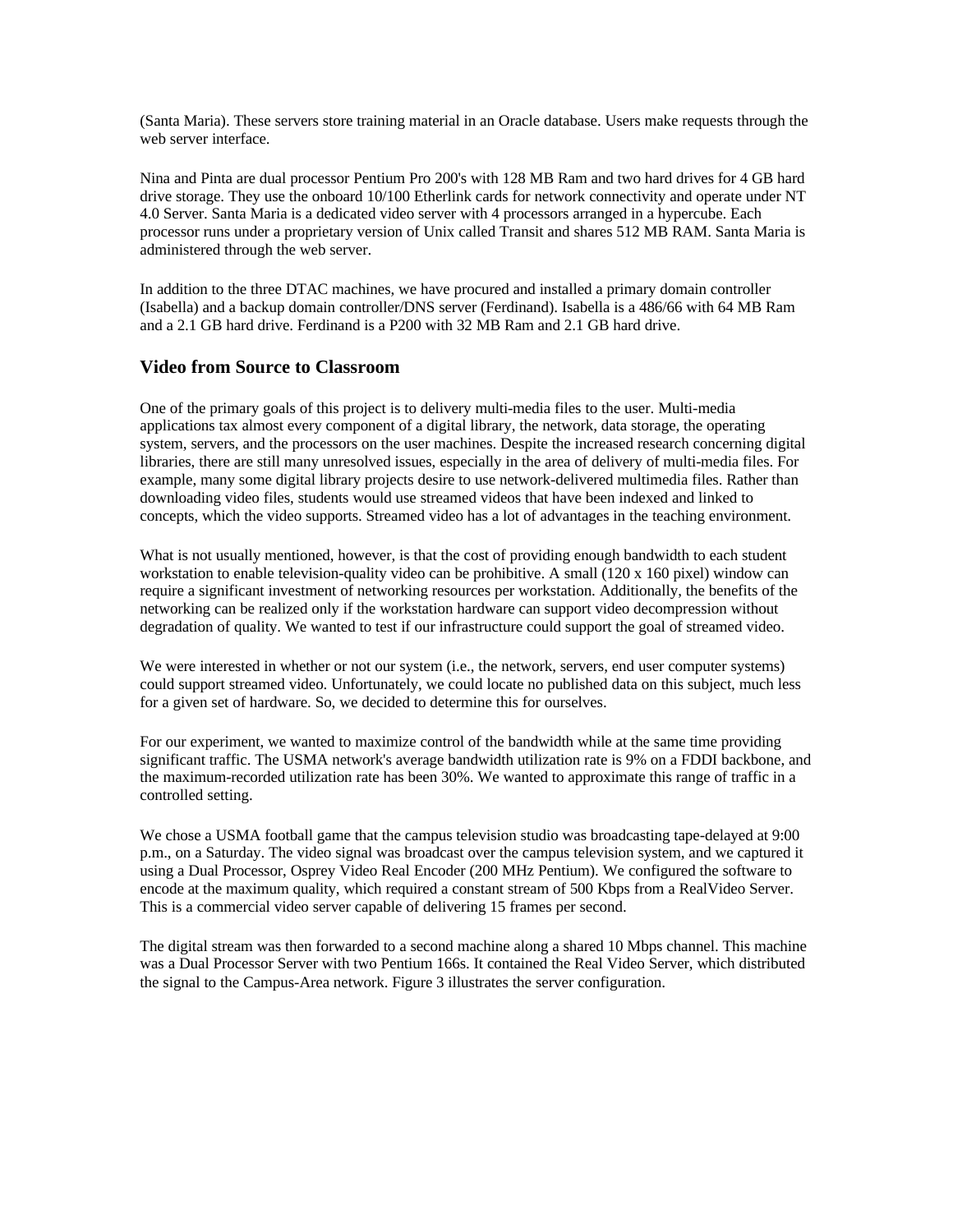(Santa Maria). These servers store training material in an Oracle database. Users make requests through the web server interface.

Nina and Pinta are dual processor Pentium Pro 200's with 128 MB Ram and two hard drives for 4 GB hard drive storage. They use the onboard 10/100 Etherlink cards for network connectivity and operate under NT 4.0 Server. Santa Maria is a dedicated video server with 4 processors arranged in a hypercube. Each processor runs under a proprietary version of Unix called Transit and shares 512 MB RAM. Santa Maria is administered through the web server.

In addition to the three DTAC machines, we have procured and installed a primary domain controller (Isabella) and a backup domain controller/DNS server (Ferdinand). Isabella is a 486/66 with 64 MB Ram and a 2.1 GB hard drive. Ferdinand is a P200 with 32 MB Ram and 2.1 GB hard drive.

#### **Video from Source to Classroom**

One of the primary goals of this project is to delivery multi-media files to the user. Multi-media applications tax almost every component of a digital library, the network, data storage, the operating system, servers, and the processors on the user machines. Despite the increased research concerning digital libraries, there are still many unresolved issues, especially in the area of delivery of multi-media files. For example, many some digital library projects desire to use network-delivered multimedia files. Rather than downloading video files, students would use streamed videos that have been indexed and linked to concepts, which the video supports. Streamed video has a lot of advantages in the teaching environment.

What is not usually mentioned, however, is that the cost of providing enough bandwidth to each student workstation to enable television-quality video can be prohibitive. A small (120 x 160 pixel) window can require a significant investment of networking resources per workstation. Additionally, the benefits of the networking can be realized only if the workstation hardware can support video decompression without degradation of quality. We wanted to test if our infrastructure could support the goal of streamed video.

We were interested in whether or not our system (i.e., the network, servers, end user computer systems) could support streamed video. Unfortunately, we could locate no published data on this subject, much less for a given set of hardware. So, we decided to determine this for ourselves.

For our experiment, we wanted to maximize control of the bandwidth while at the same time providing significant traffic. The USMA network's average bandwidth utilization rate is 9% on a FDDI backbone, and the maximum-recorded utilization rate has been 30%. We wanted to approximate this range of traffic in a controlled setting.

We chose a USMA football game that the campus television studio was broadcasting tape-delayed at 9:00 p.m., on a Saturday. The video signal was broadcast over the campus television system, and we captured it using a Dual Processor, Osprey Video Real Encoder (200 MHz Pentium). We configured the software to encode at the maximum quality, which required a constant stream of 500 Kbps from a RealVideo Server. This is a commercial video server capable of delivering 15 frames per second.

The digital stream was then forwarded to a second machine along a shared 10 Mbps channel. This machine was a Dual Processor Server with two Pentium 166s. It contained the Real Video Server, which distributed the signal to the Campus-Area network. Figure 3 illustrates the server configuration.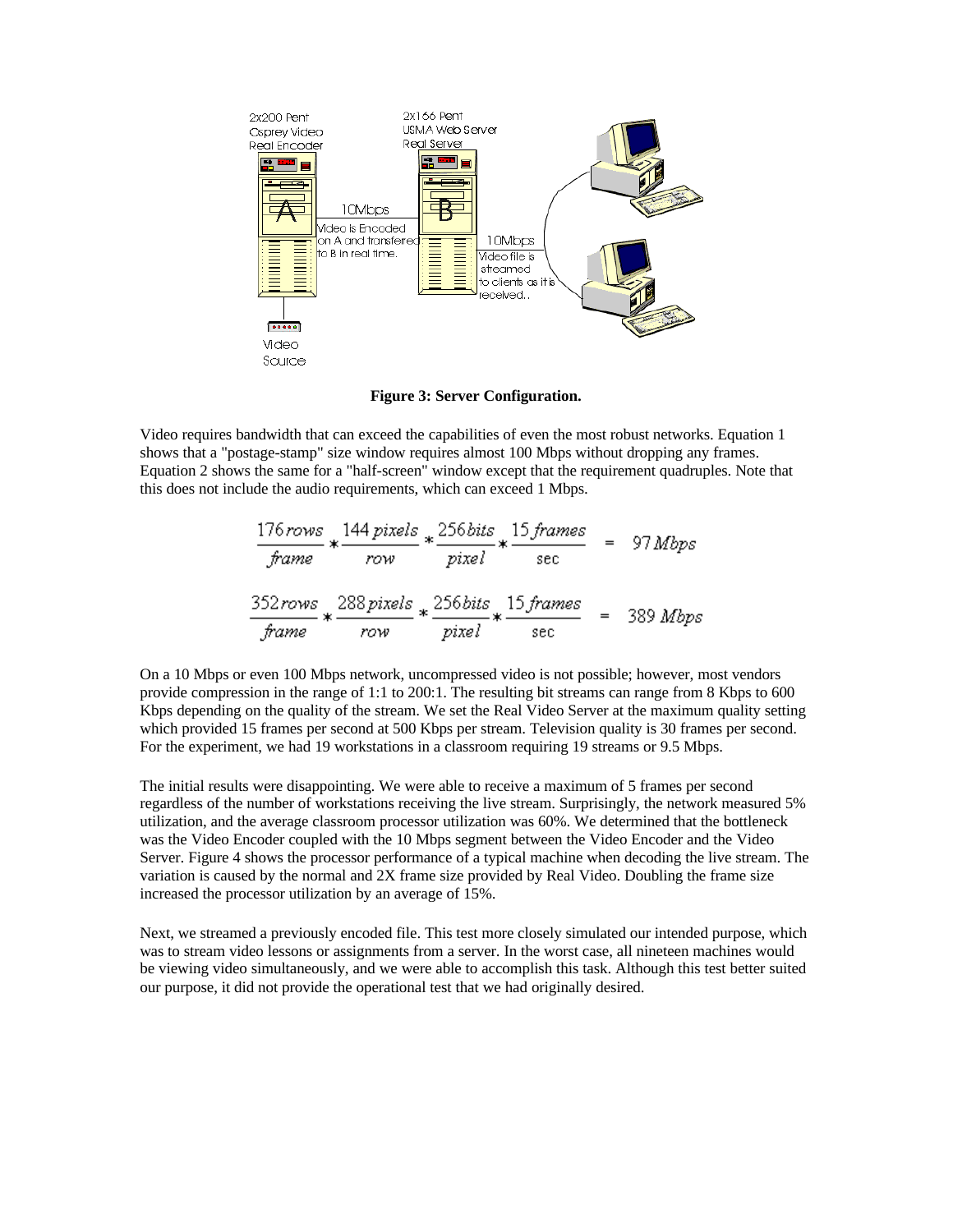

**Figure 3: Server Configuration.**

Video requires bandwidth that can exceed the capabilities of even the most robust networks. Equation 1 shows that a "postage-stamp" size window requires almost 100 Mbps without dropping any frames. Equation 2 shows the same for a "half-screen" window except that the requirement quadruples. Note that this does not include the audio requirements, which can exceed 1 Mbps.

$$
\frac{176 \text{rows}}{\text{frame}} * \frac{144 \text{ pixels}}{\text{row}} * \frac{256 \text{bits}}{\text{pixel}} * \frac{15 \text{ frames}}{\text{sec}} = 97 \text{ Mbps}
$$
\n
$$
\frac{352 \text{rows}}{\text{frame}} * \frac{288 \text{ pixels}}{\text{row}} * \frac{256 \text{bits}}{\text{pixel}} * \frac{15 \text{ frames}}{\text{sec}} = 389 \text{ Mbps}
$$

On a 10 Mbps or even 100 Mbps network, uncompressed video is not possible; however, most vendors provide compression in the range of 1:1 to 200:1. The resulting bit streams can range from 8 Kbps to 600 Kbps depending on the quality of the stream. We set the Real Video Server at the maximum quality setting which provided 15 frames per second at 500 Kbps per stream. Television quality is 30 frames per second. For the experiment, we had 19 workstations in a classroom requiring 19 streams or 9.5 Mbps.

The initial results were disappointing. We were able to receive a maximum of 5 frames per second regardless of the number of workstations receiving the live stream. Surprisingly, the network measured 5% utilization, and the average classroom processor utilization was 60%. We determined that the bottleneck was the Video Encoder coupled with the 10 Mbps segment between the Video Encoder and the Video Server. Figure 4 shows the processor performance of a typical machine when decoding the live stream. The variation is caused by the normal and 2X frame size provided by Real Video. Doubling the frame size increased the processor utilization by an average of 15%.

Next, we streamed a previously encoded file. This test more closely simulated our intended purpose, which was to stream video lessons or assignments from a server. In the worst case, all nineteen machines would be viewing video simultaneously, and we were able to accomplish this task. Although this test better suited our purpose, it did not provide the operational test that we had originally desired.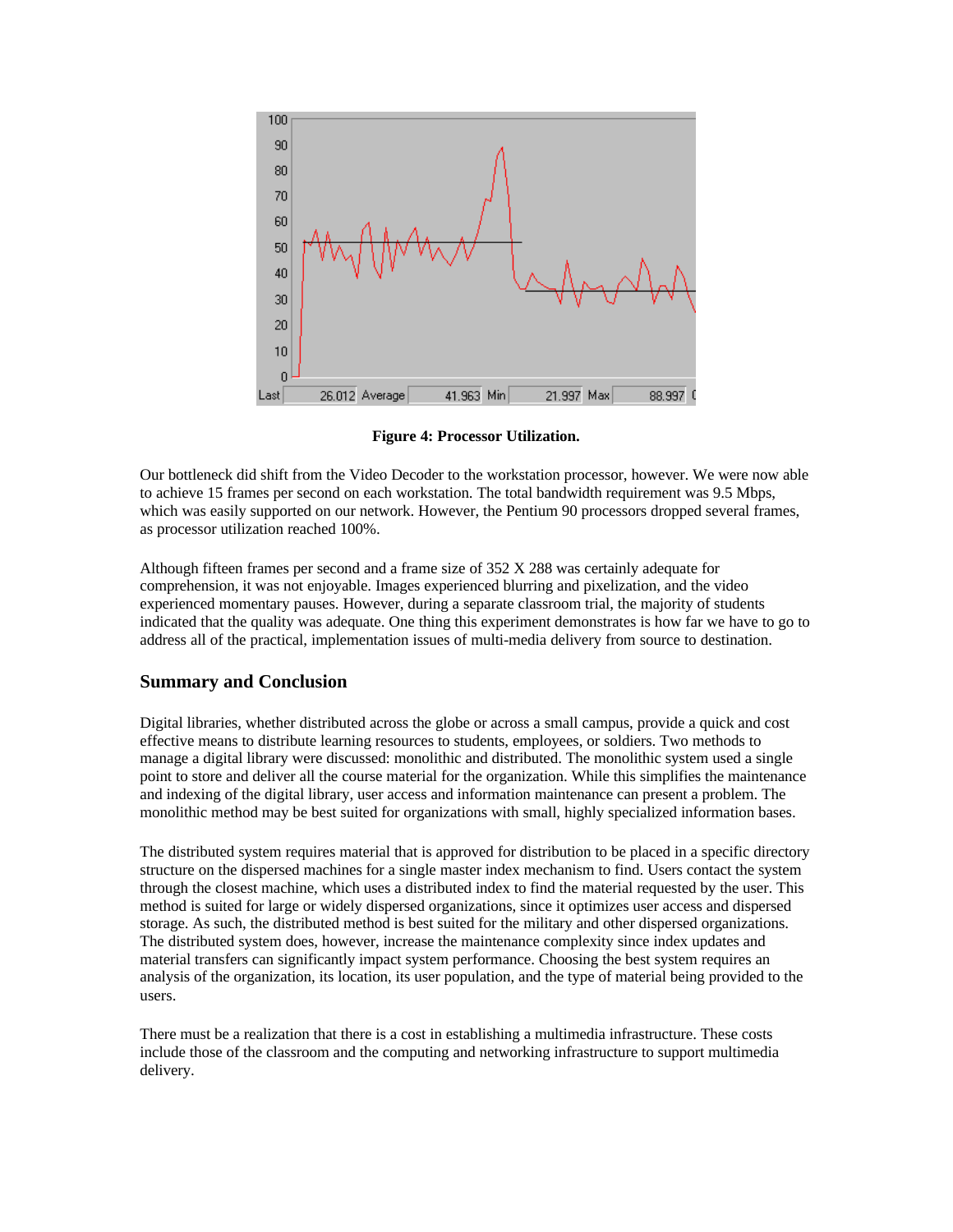

**Figure 4: Processor Utilization.**

Our bottleneck did shift from the Video Decoder to the workstation processor, however. We were now able to achieve 15 frames per second on each workstation. The total bandwidth requirement was 9.5 Mbps, which was easily supported on our network. However, the Pentium 90 processors dropped several frames, as processor utilization reached 100%.

Although fifteen frames per second and a frame size of 352 X 288 was certainly adequate for comprehension, it was not enjoyable. Images experienced blurring and pixelization, and the video experienced momentary pauses. However, during a separate classroom trial, the majority of students indicated that the quality was adequate. One thing this experiment demonstrates is how far we have to go to address all of the practical, implementation issues of multi-media delivery from source to destination.

## **Summary and Conclusion**

Digital libraries, whether distributed across the globe or across a small campus, provide a quick and cost effective means to distribute learning resources to students, employees, or soldiers. Two methods to manage a digital library were discussed: monolithic and distributed. The monolithic system used a single point to store and deliver all the course material for the organization. While this simplifies the maintenance and indexing of the digital library, user access and information maintenance can present a problem. The monolithic method may be best suited for organizations with small, highly specialized information bases.

The distributed system requires material that is approved for distribution to be placed in a specific directory structure on the dispersed machines for a single master index mechanism to find. Users contact the system through the closest machine, which uses a distributed index to find the material requested by the user. This method is suited for large or widely dispersed organizations, since it optimizes user access and dispersed storage. As such, the distributed method is best suited for the military and other dispersed organizations. The distributed system does, however, increase the maintenance complexity since index updates and material transfers can significantly impact system performance. Choosing the best system requires an analysis of the organization, its location, its user population, and the type of material being provided to the users.

There must be a realization that there is a cost in establishing a multimedia infrastructure. These costs include those of the classroom and the computing and networking infrastructure to support multimedia delivery.